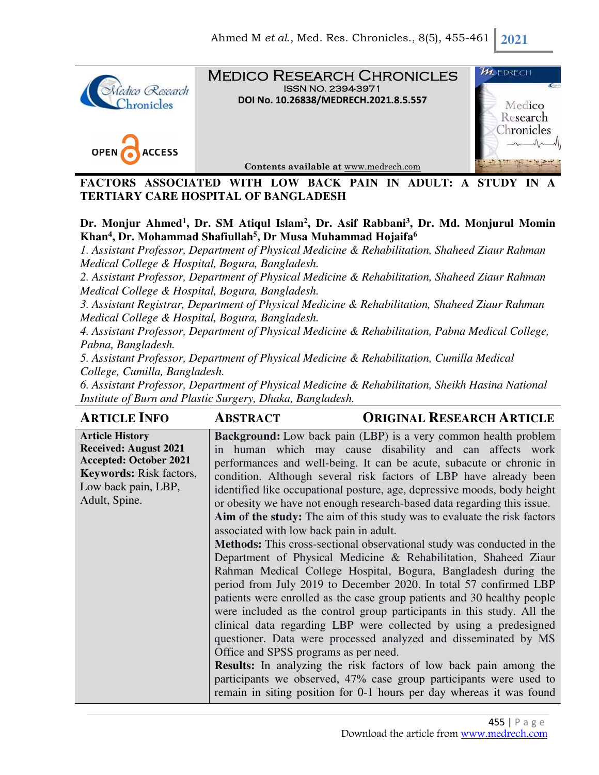

Medico Research Chronicles ISSN NO. 2394-3971 **DOI No. 10.26838/MEDRECH.2021.8.5.557**





**Contents available at** www.medrech.com

FACTORS ASSOCIATED WITH LOW BACK PAIN IN ADULT: A STUDY IN **TERTIARY CARE HOSPITAL OF BANGLADESH** 

# **Dr. Monjur Ahmed<sup>1</sup> , Dr. SM Atiqul Islam<sup>2</sup> , Dr. Asif Rabbani<sup>3</sup> , Dr. Md. Monjurul Momin Khan<sup>4</sup> , Dr. Mohammad Shafiullah<sup>5</sup> , Dr Musa Muhammad Hojaifa<sup>6</sup>**

*1. Assistant Professor, Department of Physical Medicine & Rehabilitation, Shaheed Ziaur Rahman Medical College & Hospital, Bogura, Bangladesh.* 

*2. Assistant Professor, Department of Physical Medicine & Rehabilitation, Shaheed Ziaur Rahman Medical College & Hospital, Bogura, Bangladesh.* 

*3. Assistant Registrar, Department of Physical Medicine & Rehabilitation, Shaheed Ziaur Rahman Medical College & Hospital, Bogura, Bangladesh.* 

*4. Assistant Professor, Department of Physical Medicine & Rehabilitation, Pabna Medical College, Pabna, Bangladesh.* 

*5. Assistant Professor, Department of Physical Medicine & Rehabilitation, Cumilla Medical College, Cumilla, Bangladesh.* 

*6. Assistant Professor, Department of Physical Medicine & Rehabilitation, Sheikh Hasina National Institute of Burn and Plastic Surgery, Dhaka, Bangladesh.*

| <b>ARTICLE INFO</b>                                                                                                                                               | <b>ORIGINAL RESEARCH ARTICLE</b><br><b>ABSTRACT</b>                                                                                                                                                                                                                                                                                                                                                                                                                                                                                                                                                                                                                                                                                                                                                                                                                                                                                                                                                                                                                                                                                                                                                                                                                                                                                                                                                                      |
|-------------------------------------------------------------------------------------------------------------------------------------------------------------------|--------------------------------------------------------------------------------------------------------------------------------------------------------------------------------------------------------------------------------------------------------------------------------------------------------------------------------------------------------------------------------------------------------------------------------------------------------------------------------------------------------------------------------------------------------------------------------------------------------------------------------------------------------------------------------------------------------------------------------------------------------------------------------------------------------------------------------------------------------------------------------------------------------------------------------------------------------------------------------------------------------------------------------------------------------------------------------------------------------------------------------------------------------------------------------------------------------------------------------------------------------------------------------------------------------------------------------------------------------------------------------------------------------------------------|
| <b>Article History</b><br><b>Received: August 2021</b><br><b>Accepted: October 2021</b><br><b>Keywords:</b> Risk factors,<br>Low back pain, LBP,<br>Adult, Spine. | <b>Background:</b> Low back pain (LBP) is a very common health problem<br>in human which may cause disability and can affects work<br>performances and well-being. It can be acute, subacute or chronic in<br>condition. Although several risk factors of LBP have already been<br>identified like occupational posture, age, depressive moods, body height<br>or obesity we have not enough research-based data regarding this issue.<br>Aim of the study: The aim of this study was to evaluate the risk factors<br>associated with low back pain in adult.<br><b>Methods:</b> This cross-sectional observational study was conducted in the<br>Department of Physical Medicine & Rehabilitation, Shaheed Ziaur<br>Rahman Medical College Hospital, Bogura, Bangladesh during the<br>period from July 2019 to December 2020. In total 57 confirmed LBP<br>patients were enrolled as the case group patients and 30 healthy people<br>were included as the control group participants in this study. All the<br>clinical data regarding LBP were collected by using a predesigned<br>questioner. Data were processed analyzed and disseminated by MS<br>Office and SPSS programs as per need.<br><b>Results:</b> In analyzing the risk factors of low back pain among the<br>participants we observed, 47% case group participants were used to<br>remain in siting position for 0-1 hours per day whereas it was found |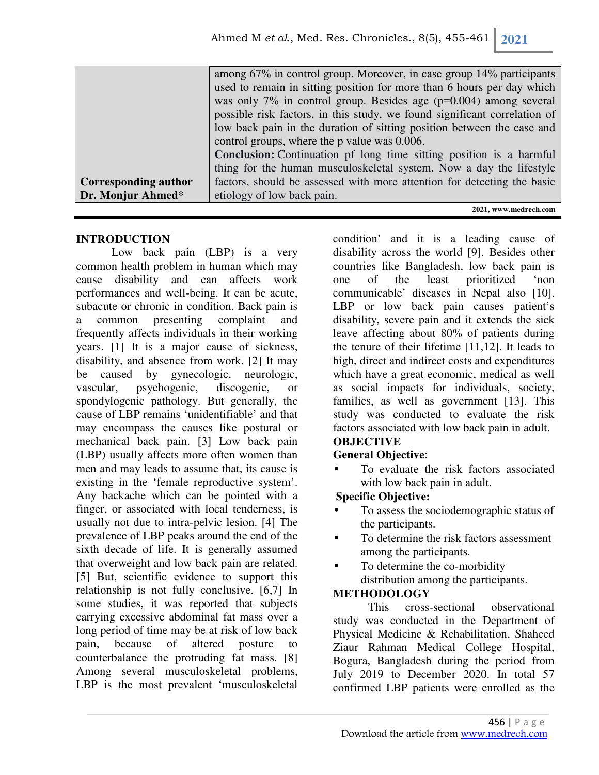|                             | among 67% in control group. Moreover, in case group 14% participants       |
|-----------------------------|----------------------------------------------------------------------------|
|                             | used to remain in sitting position for more than 6 hours per day which     |
|                             | was only 7% in control group. Besides age $(p=0.004)$ among several        |
|                             | possible risk factors, in this study, we found significant correlation of  |
|                             | low back pain in the duration of sitting position between the case and     |
|                             | control groups, where the p value was 0.006.                               |
|                             | <b>Conclusion:</b> Continuation pf long time sitting position is a harmful |
|                             | thing for the human musculoskeletal system. Now a day the lifestyle        |
| <b>Corresponding author</b> | factors, should be assessed with more attention for detecting the basic    |
| Dr. Monjur Ahmed*           | etiology of low back pain.                                                 |

#### **2021, www.medrech.com**

## **INTRODUCTION**

Low back pain (LBP) is a very common health problem in human which may cause disability and can affects work performances and well-being. It can be acute, subacute or chronic in condition. Back pain is a common presenting complaint and frequently affects individuals in their working years. [1] It is a major cause of sickness, disability, and absence from work. [2] It may be caused by gynecologic, neurologic, vascular, psychogenic, discogenic, or spondylogenic pathology. But generally, the cause of LBP remains 'unidentifiable' and that may encompass the causes like postural or mechanical back pain. [3] Low back pain (LBP) usually affects more often women than men and may leads to assume that, its cause is existing in the 'female reproductive system'. Any backache which can be pointed with a finger, or associated with local tenderness, is usually not due to intra-pelvic lesion. [4] The prevalence of LBP peaks around the end of the sixth decade of life. It is generally assumed that overweight and low back pain are related. [5] But, scientific evidence to support this relationship is not fully conclusive. [6,7] In some studies, it was reported that subjects carrying excessive abdominal fat mass over a long period of time may be at risk of low back pain, because of altered posture to counterbalance the protruding fat mass. [8] Among several musculoskeletal problems, LBP is the most prevalent 'musculoskeletal

condition' and it is a leading cause of disability across the world [9]. Besides other countries like Bangladesh, low back pain is one of the least prioritized 'non communicable' diseases in Nepal also [10]. LBP or low back pain causes patient's disability, severe pain and it extends the sick leave affecting about 80% of patients during the tenure of their lifetime [11,12]. It leads to high, direct and indirect costs and expenditures which have a great economic, medical as well as social impacts for individuals, society, families, as well as government [13]. This study was conducted to evaluate the risk factors associated with low back pain in adult.

## **OBJECTIVE**

## **General Objective**:

To evaluate the risk factors associated with low back pain in adult.

## **Specific Objective:**

- To assess the sociodemographic status of the participants.
- To determine the risk factors assessment among the participants.
- To determine the co-morbidity distribution among the participants.

## **METHODOLOGY**

This cross-sectional observational study was conducted in the Department of Physical Medicine & Rehabilitation, Shaheed Ziaur Rahman Medical College Hospital, Bogura, Bangladesh during the period from July 2019 to December 2020. In total 57 confirmed LBP patients were enrolled as the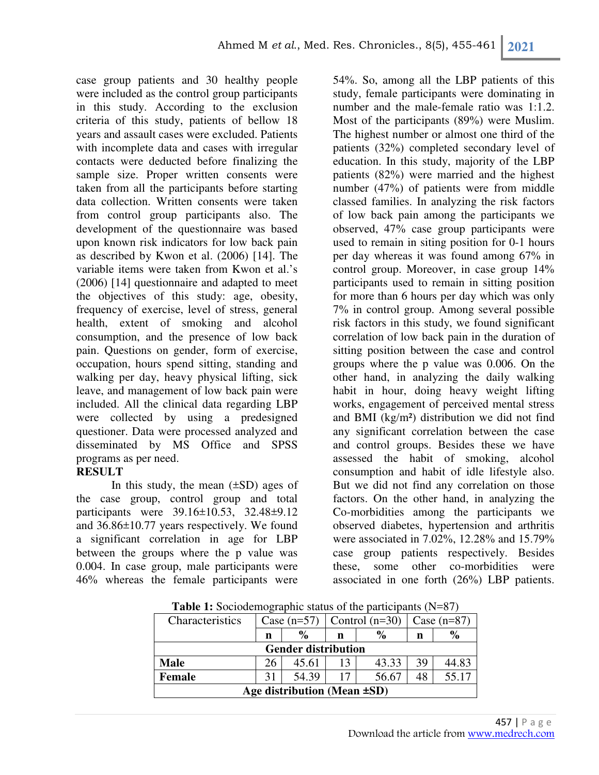case group patients and 30 healthy people were included as the control group participants in this study. According to the exclusion criteria of this study, patients of bellow 18 years and assault cases were excluded. Patients with incomplete data and cases with irregular contacts were deducted before finalizing the sample size. Proper written consents were taken from all the participants before starting data collection. Written consents were taken from control group participants also. The development of the questionnaire was based upon known risk indicators for low back pain as described by Kwon et al. (2006) [14]. The variable items were taken from Kwon et al.'s (2006) [14] questionnaire and adapted to meet the objectives of this study: age, obesity, frequency of exercise, level of stress, general health, extent of smoking and alcohol consumption, and the presence of low back pain. Questions on gender, form of exercise, occupation, hours spend sitting, standing and walking per day, heavy physical lifting, sick leave, and management of low back pain were included. All the clinical data regarding LBP were collected by using a predesigned questioner. Data were processed analyzed and disseminated by MS Office and SPSS programs as per need.

#### **RESULT**

In this study, the mean  $(\pm SD)$  ages of the case group, control group and total participants were 39.16±10.53, 32.48±9.12 and 36.86±10.77 years respectively. We found a significant correlation in age for LBP between the groups where the p value was 0.004. In case group, male participants were 46% whereas the female participants were

54%. So, among all the LBP patients of this study, female participants were dominating in number and the male-female ratio was 1:1.2. Most of the participants (89%) were Muslim. The highest number or almost one third of the patients (32%) completed secondary level of education. In this study, majority of the LBP patients (82%) were married and the highest number (47%) of patients were from middle classed families. In analyzing the risk factors of low back pain among the participants we observed, 47% case group participants were used to remain in siting position for 0-1 hours per day whereas it was found among 67% in control group. Moreover, in case group 14% participants used to remain in sitting position for more than 6 hours per day which was only 7% in control group. Among several possible risk factors in this study, we found significant correlation of low back pain in the duration of sitting position between the case and control groups where the p value was 0.006. On the other hand, in analyzing the daily walking habit in hour, doing heavy weight lifting works, engagement of perceived mental stress and BMI (kg/m²) distribution we did not find any significant correlation between the case and control groups. Besides these we have assessed the habit of smoking, alcohol consumption and habit of idle lifestyle also. But we did not find any correlation on those factors. On the other hand, in analyzing the Co-morbidities among the participants we observed diabetes, hypertension and arthritis were associated in 7.02%, 12.28% and 15.79% case group patients respectively. Besides these, some other co-morbidities were associated in one forth (26%) LBP patients.

| <b>Table 1:</b> Sociodemographic status of the participants $(N=87)$ |               |               |    |                  |               |               |  |
|----------------------------------------------------------------------|---------------|---------------|----|------------------|---------------|---------------|--|
| Characteristics                                                      | Case $(n=57)$ |               |    | Control $(n=30)$ | Case $(n=87)$ |               |  |
|                                                                      | n             | $\frac{0}{0}$ | n  | $\frac{0}{0}$    | n             | $\frac{0}{0}$ |  |
| <b>Gender distribution</b>                                           |               |               |    |                  |               |               |  |
| <b>Male</b>                                                          | 26            | 45.61         | 13 | 43.33            | 39            | 44.83         |  |
| <b>Female</b>                                                        | 31            | 54.39         | 17 | 56.67            | 48            | 55.17         |  |
| Age distribution (Mean $\pm SD$ )                                    |               |               |    |                  |               |               |  |

**Table 1:** Sociodemographic status of the participants (N=87)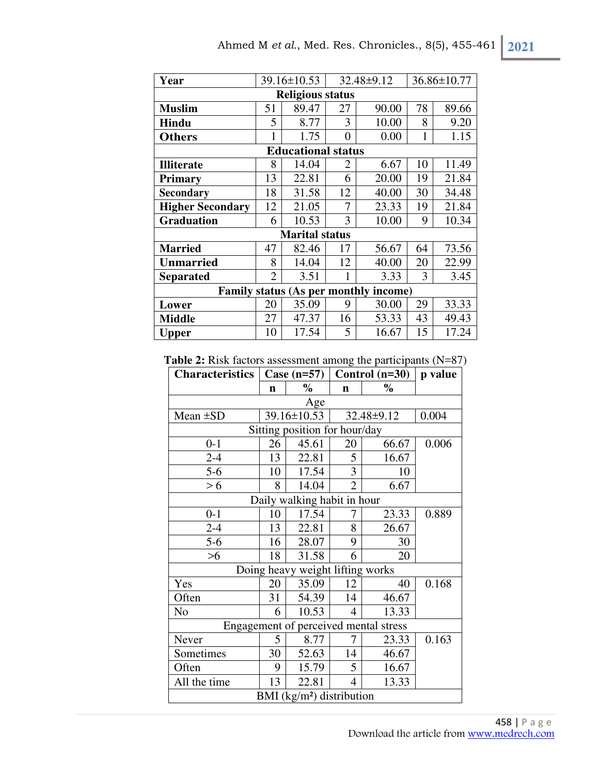| Year                                  |                | 39.16±10.53           |          | 32.48±9.12 | 36.86±10.77 |       |  |  |
|---------------------------------------|----------------|-----------------------|----------|------------|-------------|-------|--|--|
| <b>Religious status</b>               |                |                       |          |            |             |       |  |  |
| <b>Muslim</b>                         | 51             | 89.47                 | 27       | 90.00      | 78          | 89.66 |  |  |
| Hindu                                 | 5              | 8.77                  | 3        | 10.00      | 8           | 9.20  |  |  |
| <b>Others</b>                         | $\mathbf{1}$   | 1.75                  | $\theta$ | 0.00       | 1           | 1.15  |  |  |
| <b>Educational status</b>             |                |                       |          |            |             |       |  |  |
| <b>Illiterate</b>                     | 8              | 14.04                 | 2        | 6.67       | 10          | 11.49 |  |  |
| <b>Primary</b>                        | 13             | 22.81                 | 6        | 20.00      | 19          | 21.84 |  |  |
| Secondary                             | 18             | 31.58                 | 12       | 40.00      | 30          | 34.48 |  |  |
| <b>Higher Secondary</b>               | 12             | 21.05                 | 7        | 23.33      | 19          | 21.84 |  |  |
| <b>Graduation</b>                     | 6              | 10.53                 | 3        | 10.00      | 9           | 10.34 |  |  |
|                                       |                | <b>Marital status</b> |          |            |             |       |  |  |
| <b>Married</b>                        | 47             | 82.46                 | 17       | 56.67      | 64          | 73.56 |  |  |
| <b>Unmarried</b>                      | 8              | 14.04                 | 12       | 40.00      | 20          | 22.99 |  |  |
| <b>Separated</b>                      | $\overline{2}$ | 3.51                  |          | 3.33       | 3           | 3.45  |  |  |
| Family status (As per monthly income) |                |                       |          |            |             |       |  |  |
| Lower                                 | 20             | 35.09                 | 9        | 30.00      | 29          | 33.33 |  |  |
| <b>Middle</b>                         | 27             | 47.37                 | 16       | 53.33      | 43          | 49.43 |  |  |
| Upper                                 | 10             | 17.54                 | 5        | 16.67      | 15          | 17.24 |  |  |

**Table 2:** Risk factors assessment among the participants (N=87)

| <b>Characteristics</b>                | Case $(n=57)$ |                                  | Control $(n=30)$ | p value    |       |  |  |
|---------------------------------------|---------------|----------------------------------|------------------|------------|-------|--|--|
|                                       | n             | $\%$                             | $\mathbf n$      | $\%$       |       |  |  |
| Age                                   |               |                                  |                  |            |       |  |  |
| Mean $\pm SD$                         |               | $39.16 \pm 10.53$                |                  | 32.48±9.12 | 0.004 |  |  |
| Sitting position for hour/day         |               |                                  |                  |            |       |  |  |
| $0 - 1$                               | 26            | 45.61                            | 20               | 66.67      | 0.006 |  |  |
| $2 - 4$                               | 13            | 22.81                            | 5                | 16.67      |       |  |  |
| $5 - 6$                               | 10            | 17.54                            | 3                | 10         |       |  |  |
| > 6                                   | 8             | 14.04                            | $\overline{2}$   | 6.67       |       |  |  |
|                                       |               | Daily walking habit in hour      |                  |            |       |  |  |
| $0 - 1$                               | 10            | 17.54                            |                  | 23.33      | 0.889 |  |  |
| $2 - 4$                               | 13            | 22.81                            | 8                | 26.67      |       |  |  |
| $5 - 6$                               | 16            | 28.07                            | 9                | 30         |       |  |  |
| $>6$                                  | 18            | 31.58                            | 6                | 20         |       |  |  |
|                                       |               | Doing heavy weight lifting works |                  |            |       |  |  |
| Yes                                   | 20            | 35.09                            | 12               | 40         | 0.168 |  |  |
| Often                                 | 31            | 54.39                            | 14               | 46.67      |       |  |  |
| N <sub>o</sub>                        | 6             | 10.53                            | 4                | 13.33      |       |  |  |
| Engagement of perceived mental stress |               |                                  |                  |            |       |  |  |
| Never                                 | 5             | 8.77                             | 7                | 23.33      | 0.163 |  |  |
| Sometimes                             | 30            | 52.63                            | 14               | 46.67      |       |  |  |
| Often                                 | 9             | 15.79                            | 5                | 16.67      |       |  |  |
| All the time                          | 13            | 22.81                            | $\overline{4}$   | 13.33      |       |  |  |
| BMI $(kg/m2)$ distribution            |               |                                  |                  |            |       |  |  |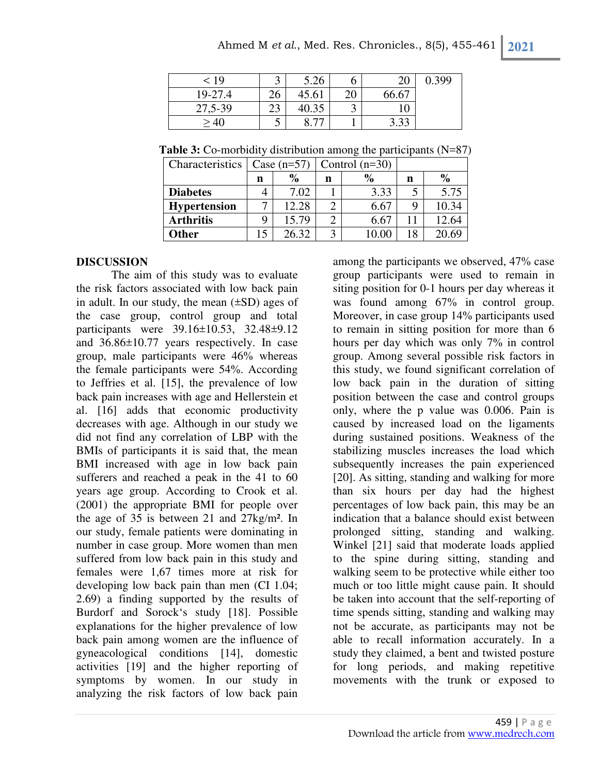| < 19    |     | 5.26  |    | 20    | 0.399 |
|---------|-----|-------|----|-------|-------|
| 19-27.4 | 26  | 45.61 | 20 | 66.67 |       |
| 27,5-39 | 29. | 40.35 | ت  |       |       |
| >40     | ◡   |       |    | 3.33  |       |

**Table 3:** Co-morbidity distribution among the participants (N=87)

| Characteristics     | Case $(n=57)$ |       |   | Control $(n=30)$ |    |               |
|---------------------|---------------|-------|---|------------------|----|---------------|
|                     | n             | $\%$  | n | $\frac{0}{0}$    | n  | $\frac{0}{0}$ |
| <b>Diabetes</b>     |               | 7.02  |   | 3.33             |    | 5.75          |
| <b>Hypertension</b> |               | 12.28 |   | 6.67             |    | 10.34         |
| <b>Arthritis</b>    | Q             | 15.79 |   | 6.67             | 11 | 12.64         |
| <b>Other</b>        | 15            | 26.32 |   | 10.OC            | 18 | 20.69         |

## **DISCUSSION**

The aim of this study was to evaluate the risk factors associated with low back pain in adult. In our study, the mean  $(\pm SD)$  ages of the case group, control group and total participants were 39.16±10.53, 32.48±9.12 and 36.86±10.77 years respectively. In case group, male participants were 46% whereas the female participants were 54%. According to Jeffries et al. [15], the prevalence of low back pain increases with age and Hellerstein et al. [16] adds that economic productivity decreases with age. Although in our study we did not find any correlation of LBP with the BMIs of participants it is said that, the mean BMI increased with age in low back pain sufferers and reached a peak in the 41 to 60 years age group. According to Crook et al. (2001) the appropriate BMI for people over the age of 35 is between 21 and 27kg/m². In our study, female patients were dominating in number in case group. More women than men suffered from low back pain in this study and females were 1,67 times more at risk for developing low back pain than men (CI 1.04; 2.69) a finding supported by the results of Burdorf and Sorock's study [18]. Possible explanations for the higher prevalence of low back pain among women are the influence of gyneacological conditions [14], domestic activities [19] and the higher reporting of symptoms by women. In our study in analyzing the risk factors of low back pain

among the participants we observed, 47% case group participants were used to remain in siting position for 0-1 hours per day whereas it was found among 67% in control group. Moreover, in case group 14% participants used to remain in sitting position for more than 6 hours per day which was only 7% in control group. Among several possible risk factors in this study, we found significant correlation of low back pain in the duration of sitting position between the case and control groups only, where the p value was 0.006. Pain is caused by increased load on the ligaments during sustained positions. Weakness of the stabilizing muscles increases the load which subsequently increases the pain experienced [20]. As sitting, standing and walking for more than six hours per day had the highest percentages of low back pain, this may be an indication that a balance should exist between prolonged sitting, standing and walking. Winkel [21] said that moderate loads applied to the spine during sitting, standing and walking seem to be protective while either too much or too little might cause pain. It should be taken into account that the self-reporting of time spends sitting, standing and walking may not be accurate, as participants may not be able to recall information accurately. In a study they claimed, a bent and twisted posture for long periods, and making repetitive movements with the trunk or exposed to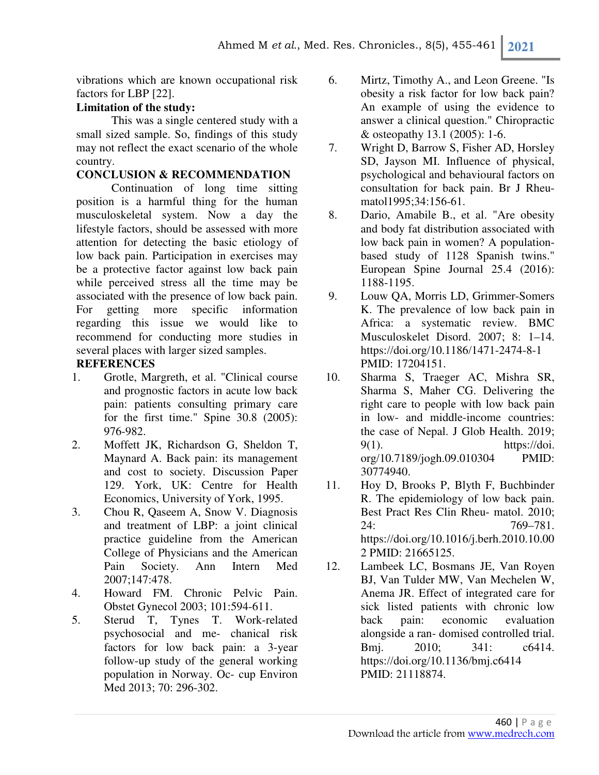vibrations which are known occupational risk factors for LBP [22].

## **Limitation of the study:**

This was a single centered study with a small sized sample. So, findings of this study may not reflect the exact scenario of the whole country.

# **CONCLUSION & RECOMMENDATION**

Continuation of long time sitting position is a harmful thing for the human musculoskeletal system. Now a day the lifestyle factors, should be assessed with more attention for detecting the basic etiology of low back pain. Participation in exercises may be a protective factor against low back pain while perceived stress all the time may be associated with the presence of low back pain. For getting more specific information regarding this issue we would like to recommend for conducting more studies in several places with larger sized samples.

## **REFERENCES**

- 1. Grotle, Margreth, et al. "Clinical course and prognostic factors in acute low back pain: patients consulting primary care for the first time." Spine 30.8 (2005): 976-982.
- 2. Moffett JK, Richardson G, Sheldon T, Maynard A. Back pain: its management and cost to society. Discussion Paper 129. York, UK: Centre for Health Economics, University of York, 1995.
- 3. Chou R, Qaseem A, Snow V. Diagnosis and treatment of LBP: a joint clinical practice guideline from the American College of Physicians and the American Pain Society. Ann Intern Med 2007;147:478.
- 4. Howard FM. Chronic Pelvic Pain. Obstet Gynecol 2003; 101:594-611.
- 5. Sterud T, Tynes T. Work-related psychosocial and me- chanical risk factors for low back pain: a 3-year follow-up study of the general working population in Norway. Oc- cup Environ Med 2013; 70: 296-302.
- 6. Mirtz, Timothy A., and Leon Greene. "Is obesity a risk factor for low back pain? An example of using the evidence to answer a clinical question." Chiropractic & osteopathy 13.1 (2005): 1-6.
- 7. Wright D, Barrow S, Fisher AD, Horsley SD, Jayson MI. Influence of physical, psychological and behavioural factors on consultation for back pain. Br J Rheumatol1995;34:156-61.
- 8. Dario, Amabile B., et al. "Are obesity and body fat distribution associated with low back pain in women? A populationbased study of 1128 Spanish twins." European Spine Journal 25.4 (2016): 1188-1195.
- 9. Louw QA, Morris LD, Grimmer-Somers K. The prevalence of low back pain in Africa: a systematic review. BMC Musculoskelet Disord. 2007; 8: 1–14. https://doi.org/10.1186/1471-2474-8-1 PMID: 17204151.
- 10. Sharma S, Traeger AC, Mishra SR, Sharma S, Maher CG. Delivering the right care to people with low back pain in low- and middle-income countries: the case of Nepal. J Glob Health. 2019;  $9(1)$ . https://doi. org/10.7189/jogh.09.010304 PMID: 30774940.
- 11. Hoy D, Brooks P, Blyth F, Buchbinder R. The epidemiology of low back pain. Best Pract Res Clin Rheu- matol. 2010; 24: 769–781. https://doi.org/10.1016/j.berh.2010.10.00 2 PMID: 21665125.
- 12. Lambeek LC, Bosmans JE, Van Royen BJ, Van Tulder MW, Van Mechelen W, Anema JR. Effect of integrated care for sick listed patients with chronic low back pain: economic evaluation alongside a ran- domised controlled trial. Bmj. 2010; 341: c6414. https://doi.org/10.1136/bmj.c6414 PMID: 21118874.